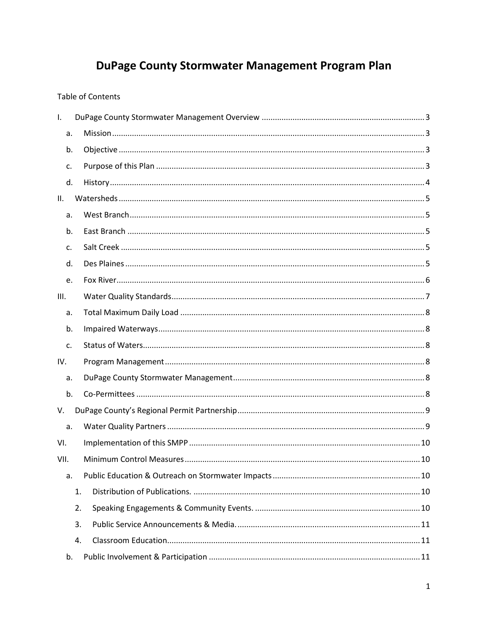# DuPage County Stormwater Management Program Plan

### Table of Contents

| $\mathbf{L}$ |    |  |
|--------------|----|--|
| a.           |    |  |
| b.           |    |  |
| c.           |    |  |
| d.           |    |  |
| П.           |    |  |
| a.           |    |  |
| b.           |    |  |
| c.           |    |  |
| d.           |    |  |
| e.           |    |  |
| III.         |    |  |
| a.           |    |  |
| b.           |    |  |
| c.           |    |  |
| IV.          |    |  |
| a.           |    |  |
| b.           |    |  |
| V.           |    |  |
| a.           |    |  |
| VI.          |    |  |
| VII.         |    |  |
| a.           |    |  |
|              | 1. |  |
|              | 2. |  |
|              | 3. |  |
|              | 4. |  |
| b.           |    |  |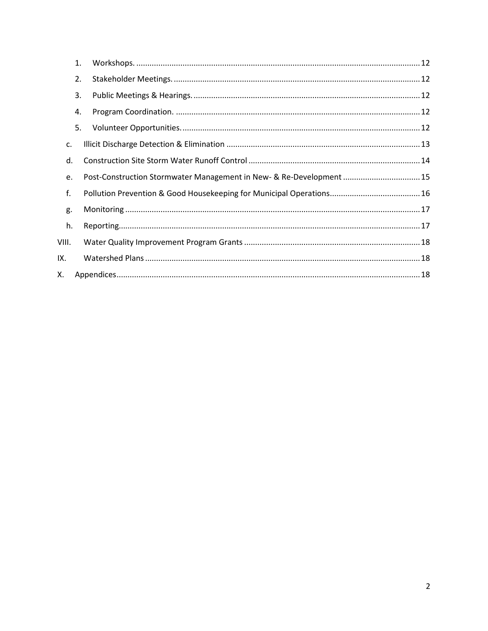|       | 1. |                                                                     |  |
|-------|----|---------------------------------------------------------------------|--|
|       | 2. |                                                                     |  |
|       | 3. |                                                                     |  |
|       | 4. |                                                                     |  |
|       | 5. |                                                                     |  |
| c.    |    |                                                                     |  |
| d.    |    |                                                                     |  |
| e.    |    | Post-Construction Stormwater Management in New- & Re-Development 15 |  |
| f.    |    |                                                                     |  |
| g.    |    |                                                                     |  |
| h.    |    |                                                                     |  |
| VIII. |    |                                                                     |  |
| IX.   |    |                                                                     |  |
| Х.    |    |                                                                     |  |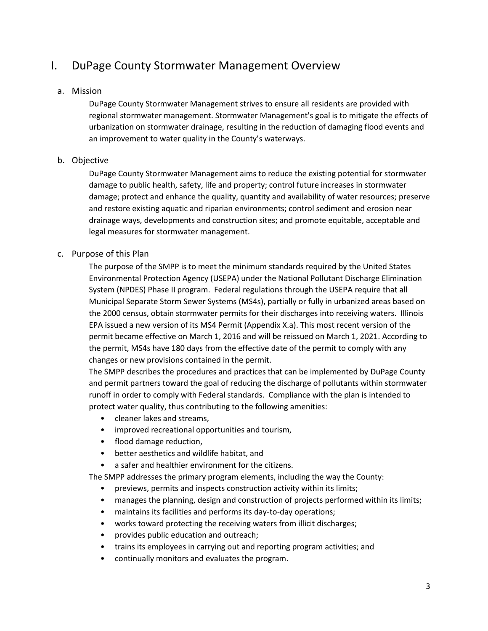# <span id="page-2-0"></span>I. DuPage County Stormwater Management Overview

### <span id="page-2-1"></span>a. Mission

DuPage County Stormwater Management strives to ensure all residents are provided with regional stormwater management. Stormwater Management's goal is to mitigate the effects of urbanization on stormwater drainage, resulting in the reduction of damaging flood events and an improvement to water quality in the County's waterways.

### <span id="page-2-2"></span>b. Objective

DuPage County Stormwater Management aims to reduce the existing potential for stormwater damage to public health, safety, life and property; control future increases in stormwater damage; protect and enhance the quality, quantity and availability of water resources; preserve and restore existing aquatic and riparian environments; control sediment and erosion near drainage ways, developments and construction sites; and promote equitable, acceptable and legal measures for stormwater management.

### <span id="page-2-3"></span>c. Purpose of this Plan

The purpose of the SMPP is to meet the minimum standards required by the United States Environmental Protection Agency (USEPA) under the National Pollutant Discharge Elimination System (NPDES) Phase II program. Federal regulations through the USEPA require that all Municipal Separate Storm Sewer Systems (MS4s), partially or fully in urbanized areas based on the 2000 census, obtain stormwater permits for their discharges into receiving waters. Illinois EPA issued a new version of its MS4 Permit (Appendix X.a). This most recent version of the permit became effective on March 1, 2016 and will be reissued on March 1, 2021. According to the permit, MS4s have 180 days from the effective date of the permit to comply with any changes or new provisions contained in the permit.

The SMPP describes the procedures and practices that can be implemented by DuPage County and permit partners toward the goal of reducing the discharge of pollutants within stormwater runoff in order to comply with Federal standards. Compliance with the plan is intended to protect water quality, thus contributing to the following amenities:

- cleaner lakes and streams,
- improved recreational opportunities and tourism,
- flood damage reduction,
- better aesthetics and wildlife habitat, and
- a safer and healthier environment for the citizens.

The SMPP addresses the primary program elements, including the way the County:

- previews, permits and inspects construction activity within its limits;
- manages the planning, design and construction of projects performed within its limits;
- maintains its facilities and performs its day-to-day operations;
- works toward protecting the receiving waters from illicit discharges;
- provides public education and outreach;
- trains its employees in carrying out and reporting program activities; and
- continually monitors and evaluates the program.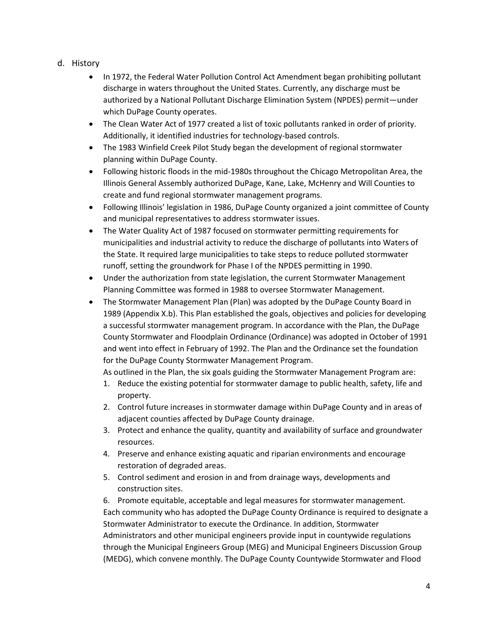- <span id="page-3-0"></span>d. History
	- In 1972, the Federal Water Pollution Control Act Amendment began prohibiting pollutant discharge in waters throughout the United States. Currently, any discharge must be authorized by a National Pollutant Discharge Elimination System (NPDES) permit—under which DuPage County operates.
	- The Clean Water Act of 1977 created a list of toxic pollutants ranked in order of priority. Additionally, it identified industries for technology-based controls.
	- The 1983 Winfield Creek Pilot Study began the development of regional stormwater planning within DuPage County.
	- Following historic floods in the mid-1980s throughout the Chicago Metropolitan Area, the Illinois General Assembly authorized DuPage, Kane, Lake, McHenry and Will Counties to create and fund regional stormwater management programs.
	- Following Illinois' legislation in 1986, DuPage County organized a joint committee of County and municipal representatives to address stormwater issues.
	- The Water Quality Act of 1987 focused on stormwater permitting requirements for municipalities and industrial activity to reduce the discharge of pollutants into Waters of the State. It required large municipalities to take steps to reduce polluted stormwater runoff, setting the groundwork for Phase I of the NPDES permitting in 1990.
	- Under the authorization from state legislation, the current Stormwater Management Planning Committee was formed in 1988 to oversee Stormwater Management.
	- The Stormwater Management Plan (Plan) was adopted by the DuPage County Board in 1989 (Appendix X.b). This Plan established the goals, objectives and policies for developing a successful stormwater management program. In accordance with the Plan, the DuPage County Stormwater and Floodplain Ordinance (Ordinance) was adopted in October of 1991 and went into effect in February of 1992. The Plan and the Ordinance set the foundation for the DuPage County Stormwater Management Program.

As outlined in the Plan, the six goals guiding the Stormwater Management Program are:

- 1. Reduce the existing potential for stormwater damage to public health, safety, life and property.
- 2. Control future increases in stormwater damage within DuPage County and in areas of adjacent counties affected by DuPage County drainage.
- 3. Protect and enhance the quality, quantity and availability of surface and groundwater resources.
- 4. Preserve and enhance existing aquatic and riparian environments and encourage restoration of degraded areas.
- 5. Control sediment and erosion in and from drainage ways, developments and construction sites.

6. Promote equitable, acceptable and legal measures for stormwater management. Each community who has adopted the DuPage County Ordinance is required to designate a Stormwater Administrator to execute the Ordinance. In addition, Stormwater Administrators and other municipal engineers provide input in countywide regulations through the Municipal Engineers Group (MEG) and Municipal Engineers Discussion Group (MEDG), which convene monthly. The DuPage County Countywide Stormwater and Flood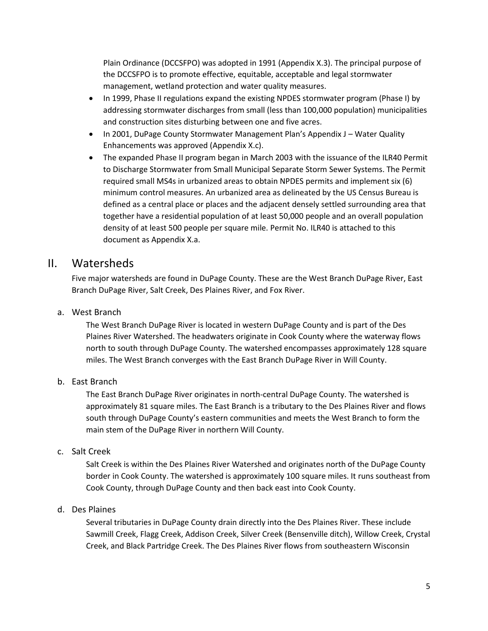Plain Ordinance (DCCSFPO) was adopted in 1991 (Appendix X.3). The principal purpose of the DCCSFPO is to promote effective, equitable, acceptable and legal stormwater management, wetland protection and water quality measures.

- In 1999, Phase II regulations expand the existing NPDES stormwater program (Phase I) by addressing stormwater discharges from small (less than 100,000 population) municipalities and construction sites disturbing between one and five acres.
- In 2001, DuPage County Stormwater Management Plan's Appendix J Water Quality Enhancements was approved (Appendix X.c).
- The expanded Phase II program began in March 2003 with the issuance of the ILR40 Permit to Discharge Stormwater from Small Municipal Separate Storm Sewer Systems. The Permit required small MS4s in urbanized areas to obtain NPDES permits and implement six (6) minimum control measures. An urbanized area as delineated by the US Census Bureau is defined as a central place or places and the adjacent densely settled surrounding area that together have a residential population of at least 50,000 people and an overall population density of at least 500 people per square mile. Permit No. ILR40 is attached to this document as Appendix X.a.

### <span id="page-4-0"></span>II. Watersheds

Five major watersheds are found in DuPage County. These are the West Branch DuPage River, East Branch DuPage River, Salt Creek, Des Plaines River, and Fox River.

<span id="page-4-1"></span>a. West Branch

The West Branch DuPage River is located in western DuPage County and is part of the Des Plaines River Watershed. The headwaters originate in Cook County where the waterway flows north to south through DuPage County. The watershed encompasses approximately 128 square miles. The West Branch converges with the East Branch DuPage River in Will County.

<span id="page-4-2"></span>b. East Branch

The East Branch DuPage River originates in north-central DuPage County. The watershed is approximately 81 square miles. The East Branch is a tributary to the Des Plaines River and flows south through DuPage County's eastern communities and meets the West Branch to form the main stem of the DuPage River in northern Will County.

<span id="page-4-3"></span>c. Salt Creek

Salt Creek is within the Des Plaines River Watershed and originates north of the DuPage County border in Cook County. The watershed is approximately 100 square miles. It runs southeast from Cook County, through DuPage County and then back east into Cook County.

<span id="page-4-4"></span>d. Des Plaines

Several tributaries in DuPage County drain directly into the Des Plaines River. These include Sawmill Creek, Flagg Creek, Addison Creek, Silver Creek (Bensenville ditch), Willow Creek, Crystal Creek, and Black Partridge Creek. The Des Plaines River flows from southeastern Wisconsin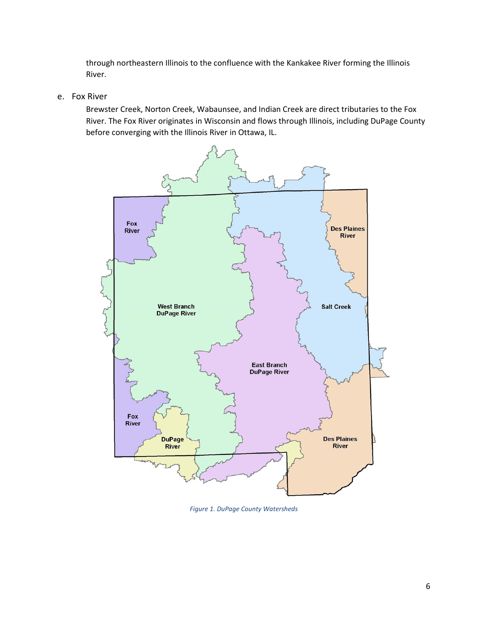through northeastern Illinois to the confluence with the Kankakee River forming the Illinois River.

<span id="page-5-0"></span>e. Fox River

Brewster Creek, Norton Creek, Wabaunsee, and Indian Creek are direct tributaries to the Fox River. The Fox River originates in Wisconsin and flows through Illinois, including DuPage County before converging with the Illinois River in Ottawa, IL.



*Figure 1. DuPage County Watersheds*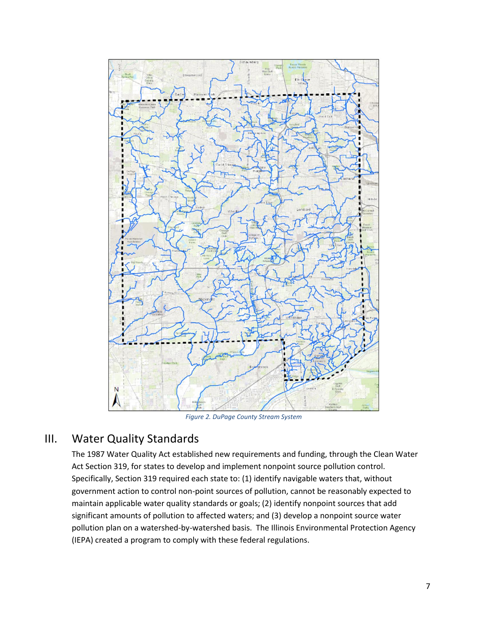

*Figure 2. DuPage County Stream System*

### <span id="page-6-0"></span>III. Water Quality Standards

The 1987 Water Quality Act established new requirements and funding, through the Clean Water Act Section 319, for states to develop and implement nonpoint source pollution control. Specifically, Section 319 required each state to: (1) identify navigable waters that, without government action to control non-point sources of pollution, cannot be reasonably expected to maintain applicable water quality standards or goals; (2) identify nonpoint sources that add significant amounts of pollution to affected waters; and (3) develop a nonpoint source water pollution plan on a watershed-by-watershed basis. The Illinois Environmental Protection Agency (IEPA) created a program to comply with these federal regulations.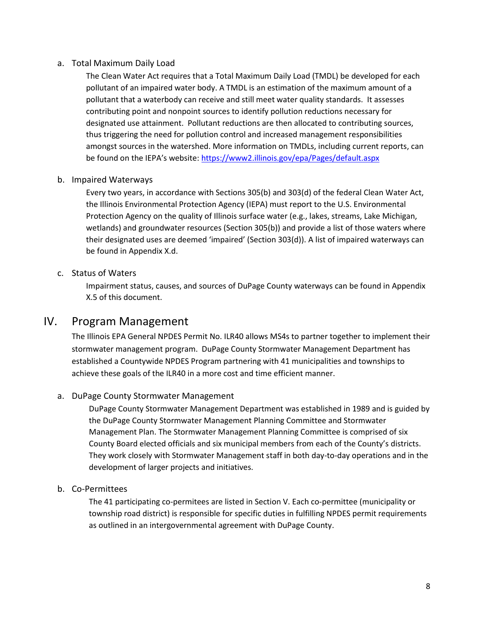### <span id="page-7-0"></span>a. Total Maximum Daily Load

The Clean Water Act requires that a Total Maximum Daily Load (TMDL) be developed for each pollutant of an impaired water body. A TMDL is an estimation of the maximum amount of a pollutant that a waterbody can receive and still meet water quality standards. It assesses contributing point and nonpoint sources to identify pollution reductions necessary for designated use attainment. Pollutant reductions are then allocated to contributing sources, thus triggering the need for pollution control and increased management responsibilities amongst sources in the watershed. More information on TMDLs, including current reports, can be found on the IEPA's website[: https://www2.illinois.gov/epa/Pages/default.aspx](https://www2.illinois.gov/epa/Pages/default.aspx)

### <span id="page-7-1"></span>b. Impaired Waterways

Every two years, in accordance with Sections 305(b) and 303(d) of the federal Clean Water Act, the Illinois Environmental Protection Agency (IEPA) must report to the U.S. Environmental Protection Agency on the quality of Illinois surface water (e.g., lakes, streams, Lake Michigan, wetlands) and groundwater resources (Section 305(b)) and provide a list of those waters where their designated uses are deemed 'impaired' (Section 303(d)). A list of impaired waterways can be found in Appendix X.d.

### <span id="page-7-2"></span>c. Status of Waters

Impairment status, causes, and sources of DuPage County waterways can be found in Appendix X.5 of this document.

### <span id="page-7-3"></span>IV. Program Management

The Illinois EPA General NPDES Permit No. ILR40 allows MS4s to partner together to implement their stormwater management program. DuPage County Stormwater Management Department has established a Countywide NPDES Program partnering with 41 municipalities and townships to achieve these goals of the ILR40 in a more cost and time efficient manner.

### <span id="page-7-4"></span>a. DuPage County Stormwater Management

DuPage County Stormwater Management Department was established in 1989 and is guided by the DuPage County Stormwater Management Planning Committee and Stormwater Management Plan. The Stormwater Management Planning Committee is comprised of six County Board elected officials and six municipal members from each of the County's districts. They work closely with Stormwater Management staff in both day-to-day operations and in the development of larger projects and initiatives.

#### <span id="page-7-5"></span>b. Co-Permittees

The 41 participating co-permitees are listed in Section V. Each co-permittee (municipality or township road district) is responsible for specific duties in fulfilling NPDES permit requirements as outlined in an intergovernmental agreement with DuPage County.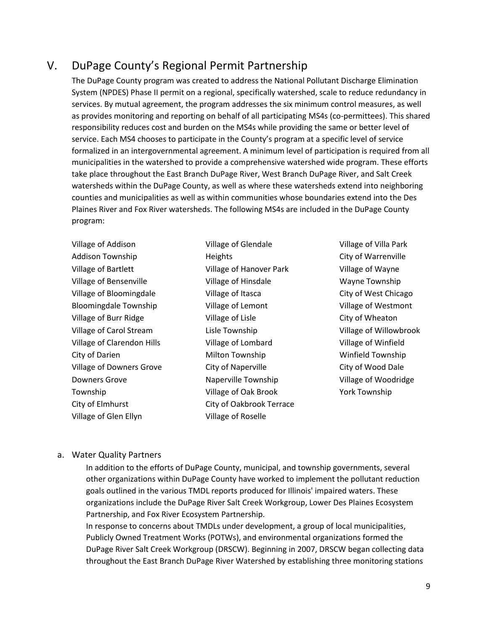# <span id="page-8-0"></span>V. DuPage County's Regional Permit Partnership

The DuPage County program was created to address the National Pollutant Discharge Elimination System (NPDES) Phase II permit on a regional, specifically watershed, scale to reduce redundancy in services. By mutual agreement, the program addresses the six minimum control measures, as well as provides monitoring and reporting on behalf of all participating MS4s (co-permittees). This shared responsibility reduces cost and burden on the MS4s while providing the same or better level of service. Each MS4 chooses to participate in the County's program at a specific level of service formalized in an intergovernmental agreement. A minimum level of participation is required from all municipalities in the watershed to provide a comprehensive watershed wide program. These efforts take place throughout the East Branch DuPage River, West Branch DuPage River, and Salt Creek watersheds within the DuPage County, as well as where these watersheds extend into neighboring counties and municipalities as well as within communities whose boundaries extend into the Des Plaines River and Fox River watersheds. The following MS4s are included in the DuPage County program:

| Village of Addison                |
|-----------------------------------|
| <b>Addison Township</b>           |
| <b>Village of Bartlett</b>        |
| Village of Bensenville            |
| Village of Bloomingdale           |
| <b>Bloomingdale Township</b>      |
| Village of Burr Ridge             |
| Village of Carol Stream           |
| <b>Village of Clarendon Hills</b> |
| City of Darien                    |
| <b>Village of Downers Grove</b>   |
| Downers Grove                     |
| Township                          |
| City of Elmhurst                  |
| Village of Glen Ellyn             |

Village of Glendale **Heights** Village of Hanover Park Village of Hinsdale Village of Itasca Village of Lemont Village of Lisle Lisle Township Village of Lombard Milton Township City of Naperville Naperville Township Village of Oak Brook City of Oakbrook Terrace Village of Roselle

Village of Villa Park City of Warrenville Village of Wayne Wayne Township City of West Chicago Village of Westmont City of Wheaton Village of Willowbrook Village of Winfield Winfield Township City of Wood Dale Village of Woodridge York Township

#### <span id="page-8-1"></span>a. Water Quality Partners

In addition to the efforts of DuPage County, municipal, and township governments, several other organizations within DuPage County have worked to implement the pollutant reduction goals outlined in the various TMDL reports produced for Illinois' impaired waters. These organizations include the DuPage River Salt Creek Workgroup, Lower Des Plaines Ecosystem Partnership, and Fox River Ecosystem Partnership.

In response to concerns about TMDLs under development, a group of local municipalities, Publicly Owned Treatment Works (POTWs), and environmental organizations formed the DuPage River Salt Creek Workgroup (DRSCW). Beginning in 2007, DRSCW began collecting data throughout the East Branch DuPage River Watershed by establishing three monitoring stations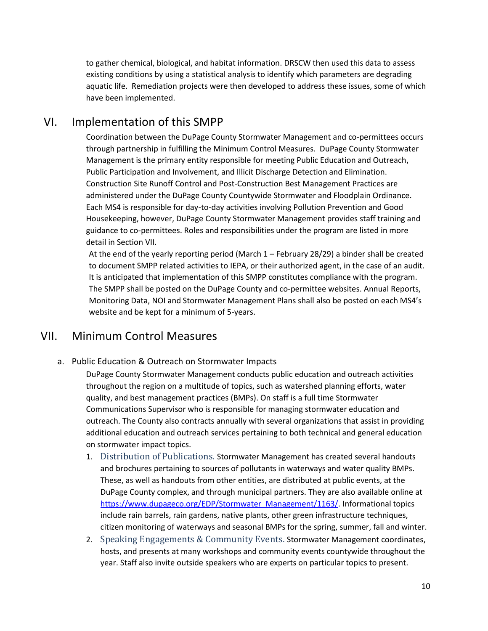to gather chemical, biological, and habitat information. DRSCW then used this data to assess existing conditions by using a statistical analysis to identify which parameters are degrading aquatic life. Remediation projects were then developed to address these issues, some of which have been implemented.

# <span id="page-9-0"></span>VI. Implementation of this SMPP

Coordination between the DuPage County Stormwater Management and co-permittees occurs through partnership in fulfilling the Minimum Control Measures. DuPage County Stormwater Management is the primary entity responsible for meeting Public Education and Outreach, Public Participation and Involvement, and Illicit Discharge Detection and Elimination. Construction Site Runoff Control and Post-Construction Best Management Practices are administered under the DuPage County Countywide Stormwater and Floodplain Ordinance. Each MS4 is responsible for day-to-day activities involving Pollution Prevention and Good Housekeeping, however, DuPage County Stormwater Management provides staff training and guidance to co-permittees. Roles and responsibilities under the program are listed in more detail in Section VII.

At the end of the yearly reporting period (March 1 – February 28/29) a binder shall be created to document SMPP related activities to IEPA, or their authorized agent, in the case of an audit. It is anticipated that implementation of this SMPP constitutes compliance with the program. The SMPP shall be posted on the DuPage County and co-permittee websites. Annual Reports, Monitoring Data, NOI and Stormwater Management Plans shall also be posted on each MS4's website and be kept for a minimum of 5-years.

### <span id="page-9-1"></span>VII. Minimum Control Measures

<span id="page-9-2"></span>a. Public Education & Outreach on Stormwater Impacts

DuPage County Stormwater Management conducts public education and outreach activities throughout the region on a multitude of topics, such as watershed planning efforts, water quality, and best management practices (BMPs). On staff is a full time Stormwater Communications Supervisor who is responsible for managing stormwater education and outreach. The County also contracts annually with several organizations that assist in providing additional education and outreach services pertaining to both technical and general education on stormwater impact topics.

- <span id="page-9-3"></span>1. Distribution of Publications. Stormwater Management has created several handouts and brochures pertaining to sources of pollutants in waterways and water quality BMPs. These, as well as handouts from other entities, are distributed at public events, at the DuPage County complex, and through municipal partners. They are also available online at [https://www.dupageco.org/EDP/Stormwater\\_Management/1163/.](https://www.dupageco.org/EDP/Stormwater_Management/1163/) Informational topics include rain barrels, rain gardens, native plants, other green infrastructure techniques, citizen monitoring of waterways and seasonal BMPs for the spring, summer, fall and winter.
- <span id="page-9-4"></span>2. Speaking Engagements & Community Events. Stormwater Management coordinates, hosts, and presents at many workshops and community events countywide throughout the year. Staff also invite outside speakers who are experts on particular topics to present.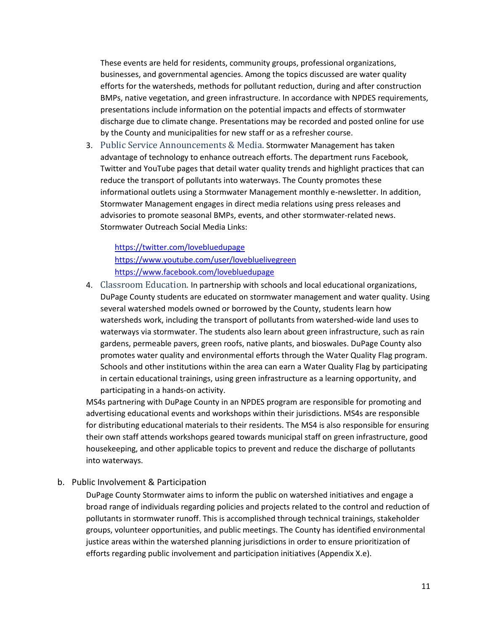These events are held for residents, community groups, professional organizations, businesses, and governmental agencies. Among the topics discussed are water quality efforts for the watersheds, methods for pollutant reduction, during and after construction BMPs, native vegetation, and green infrastructure. In accordance with NPDES requirements, presentations include information on the potential impacts and effects of stormwater discharge due to climate change. Presentations may be recorded and posted online for use by the County and municipalities for new staff or as a refresher course.

<span id="page-10-0"></span>3. Public Service Announcements & Media. Stormwater Management has taken advantage of technology to enhance outreach efforts. The department runs Facebook, Twitter and YouTube pages that detail water quality trends and highlight practices that can reduce the transport of pollutants into waterways. The County promotes these informational outlets using a Stormwater Management monthly e-newsletter. In addition, Stormwater Management engages in direct media relations using press releases and advisories to promote seasonal BMPs, events, and other stormwater-related news. Stormwater Outreach Social Media Links:

<https://twitter.com/lovebluedupage> <https://www.youtube.com/user/lovebluelivegreen> <https://www.facebook.com/lovebluedupage>

<span id="page-10-1"></span>4. Classroom Education. In partnership with schools and local educational organizations, DuPage County students are educated on stormwater management and water quality. Using several watershed models owned or borrowed by the County, students learn how watersheds work, including the transport of pollutants from watershed-wide land uses to waterways via stormwater. The students also learn about green infrastructure, such as rain gardens, permeable pavers, green roofs, native plants, and bioswales. DuPage County also promotes water quality and environmental efforts through the Water Quality Flag program. Schools and other institutions within the area can earn a Water Quality Flag by participating in certain educational trainings, using green infrastructure as a learning opportunity, and participating in a hands-on activity.

MS4s partnering with DuPage County in an NPDES program are responsible for promoting and advertising educational events and workshops within their jurisdictions. MS4s are responsible for distributing educational materials to their residents. The MS4 is also responsible for ensuring their own staff attends workshops geared towards municipal staff on green infrastructure, good housekeeping, and other applicable topics to prevent and reduce the discharge of pollutants into waterways.

<span id="page-10-2"></span>b. Public Involvement & Participation

DuPage County Stormwater aims to inform the public on watershed initiatives and engage a broad range of individuals regarding policies and projects related to the control and reduction of pollutants in stormwater runoff. This is accomplished through technical trainings, stakeholder groups, volunteer opportunities, and public meetings. The County has identified environmental justice areas within the watershed planning jurisdictions in order to ensure prioritization of efforts regarding public involvement and participation initiatives (Appendix X.e).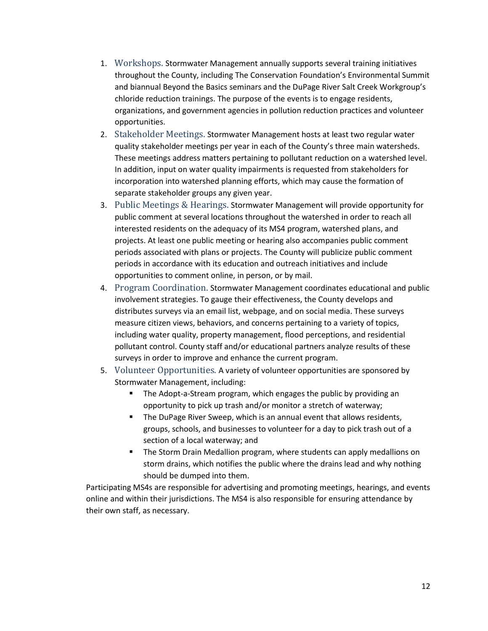- <span id="page-11-0"></span>1. Workshops. Stormwater Management annually supports several training initiatives throughout the County, including The Conservation Foundation's Environmental Summit and biannual Beyond the Basics seminars and the DuPage River Salt Creek Workgroup's chloride reduction trainings. The purpose of the events is to engage residents, organizations, and government agencies in pollution reduction practices and volunteer opportunities.
- <span id="page-11-1"></span>2. Stakeholder Meetings. Stormwater Management hosts at least two regular water quality stakeholder meetings per year in each of the County's three main watersheds. These meetings address matters pertaining to pollutant reduction on a watershed level. In addition, input on water quality impairments is requested from stakeholders for incorporation into watershed planning efforts, which may cause the formation of separate stakeholder groups any given year.
- <span id="page-11-2"></span>3. Public Meetings & Hearings. Stormwater Management will provide opportunity for public comment at several locations throughout the watershed in order to reach all interested residents on the adequacy of its MS4 program, watershed plans, and projects. At least one public meeting or hearing also accompanies public comment periods associated with plans or projects. The County will publicize public comment periods in accordance with its education and outreach initiatives and include opportunities to comment online, in person, or by mail.
- <span id="page-11-3"></span>4. Program Coordination. Stormwater Management coordinates educational and public involvement strategies. To gauge their effectiveness, the County develops and distributes surveys via an email list, webpage, and on social media. These surveys measure citizen views, behaviors, and concerns pertaining to a variety of topics, including water quality, property management, flood perceptions, and residential pollutant control. County staff and/or educational partners analyze results of these surveys in order to improve and enhance the current program.
- <span id="page-11-4"></span>5. Volunteer Opportunities. A variety of volunteer opportunities are sponsored by Stormwater Management, including:
	- The Adopt-a-Stream program, which engages the public by providing an opportunity to pick up trash and/or monitor a stretch of waterway;
	- The DuPage River Sweep, which is an annual event that allows residents, groups, schools, and businesses to volunteer for a day to pick trash out of a section of a local waterway; and
	- The Storm Drain Medallion program, where students can apply medallions on storm drains, which notifies the public where the drains lead and why nothing should be dumped into them.

Participating MS4s are responsible for advertising and promoting meetings, hearings, and events online and within their jurisdictions. The MS4 is also responsible for ensuring attendance by their own staff, as necessary.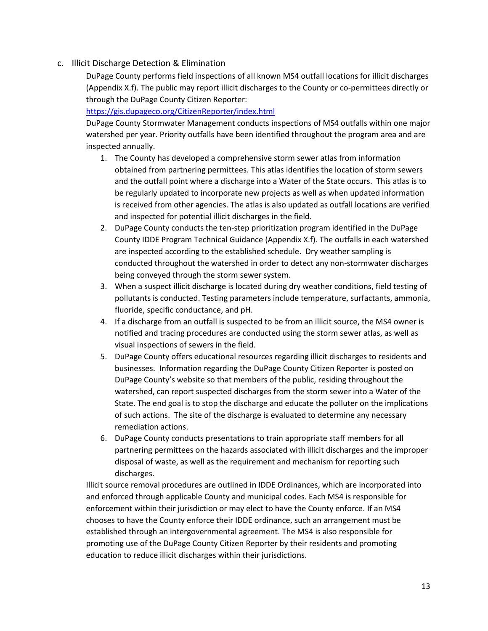<span id="page-12-0"></span>c. Illicit Discharge Detection & Elimination

DuPage County performs field inspections of all known MS4 outfall locations for illicit discharges (Appendix X.f). The public may report illicit discharges to the County or co-permittees directly or through the DuPage County Citizen Reporter:

<https://gis.dupageco.org/CitizenReporter/index.html>

DuPage County Stormwater Management conducts inspections of MS4 outfalls within one major watershed per year. Priority outfalls have been identified throughout the program area and are inspected annually.

- 1. The County has developed a comprehensive storm sewer atlas from information obtained from partnering permittees. This atlas identifies the location of storm sewers and the outfall point where a discharge into a Water of the State occurs. This atlas is to be regularly updated to incorporate new projects as well as when updated information is received from other agencies. The atlas is also updated as outfall locations are verified and inspected for potential illicit discharges in the field.
- 2. DuPage County conducts the ten-step prioritization program identified in the DuPage County IDDE Program Technical Guidance (Appendix X.f). The outfalls in each watershed are inspected according to the established schedule. Dry weather sampling is conducted throughout the watershed in order to detect any non-stormwater discharges being conveyed through the storm sewer system.
- 3. When a suspect illicit discharge is located during dry weather conditions, field testing of pollutants is conducted. Testing parameters include temperature, surfactants, ammonia, fluoride, specific conductance, and pH.
- 4. If a discharge from an outfall is suspected to be from an illicit source, the MS4 owner is notified and tracing procedures are conducted using the storm sewer atlas, as well as visual inspections of sewers in the field.
- 5. DuPage County offers educational resources regarding illicit discharges to residents and businesses. Information regarding the DuPage County Citizen Reporter is posted on DuPage County's website so that members of the public, residing throughout the watershed, can report suspected discharges from the storm sewer into a Water of the State. The end goal is to stop the discharge and educate the polluter on the implications of such actions. The site of the discharge is evaluated to determine any necessary remediation actions.
- 6. DuPage County conducts presentations to train appropriate staff members for all partnering permittees on the hazards associated with illicit discharges and the improper disposal of waste, as well as the requirement and mechanism for reporting such discharges.

Illicit source removal procedures are outlined in IDDE Ordinances, which are incorporated into and enforced through applicable County and municipal codes. Each MS4 is responsible for enforcement within their jurisdiction or may elect to have the County enforce. If an MS4 chooses to have the County enforce their IDDE ordinance, such an arrangement must be established through an intergovernmental agreement. The MS4 is also responsible for promoting use of the DuPage County Citizen Reporter by their residents and promoting education to reduce illicit discharges within their jurisdictions.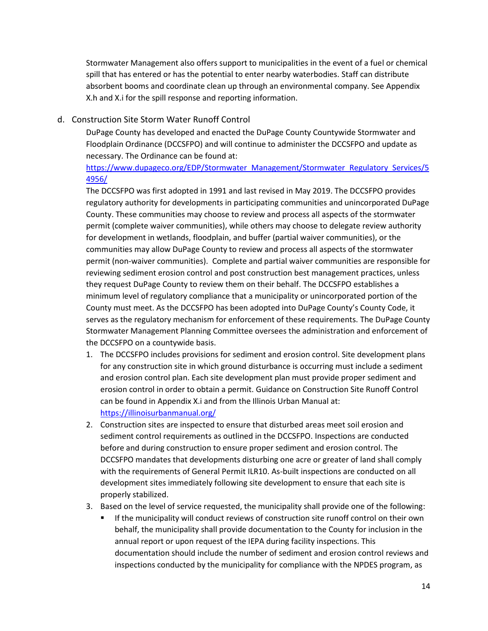Stormwater Management also offers support to municipalities in the event of a fuel or chemical spill that has entered or has the potential to enter nearby waterbodies. Staff can distribute absorbent booms and coordinate clean up through an environmental company. See Appendix X.h and X.i for the spill response and reporting information.

### <span id="page-13-0"></span>d. Construction Site Storm Water Runoff Control

DuPage County has developed and enacted the DuPage County Countywide Stormwater and Floodplain Ordinance (DCCSFPO) and will continue to administer the DCCSFPO and update as necessary. The Ordinance can be found at:

[https://www.dupageco.org/EDP/Stormwater\\_Management/Stormwater\\_Regulatory\\_Services/5](https://www.dupageco.org/EDP/Stormwater_Management/Stormwater_Regulatory_Services/54956/) [4956/](https://www.dupageco.org/EDP/Stormwater_Management/Stormwater_Regulatory_Services/54956/)

The DCCSFPO was first adopted in 1991 and last revised in May 2019. The DCCSFPO provides regulatory authority for developments in participating communities and unincorporated DuPage County. These communities may choose to review and process all aspects of the stormwater permit (complete waiver communities), while others may choose to delegate review authority for development in wetlands, floodplain, and buffer (partial waiver communities), or the communities may allow DuPage County to review and process all aspects of the stormwater permit (non-waiver communities). Complete and partial waiver communities are responsible for reviewing sediment erosion control and post construction best management practices, unless they request DuPage County to review them on their behalf. The DCCSFPO establishes a minimum level of regulatory compliance that a municipality or unincorporated portion of the County must meet. As the DCCSFPO has been adopted into DuPage County's County Code, it serves as the regulatory mechanism for enforcement of these requirements. The DuPage County Stormwater Management Planning Committee oversees the administration and enforcement of the DCCSFPO on a countywide basis.

- 1. The DCCSFPO includes provisions for sediment and erosion control. Site development plans for any construction site in which ground disturbance is occurring must include a sediment and erosion control plan. Each site development plan must provide proper sediment and erosion control in order to obtain a permit. Guidance on Construction Site Runoff Control can be found in Appendix X.i and from the Illinois Urban Manual at: <https://illinoisurbanmanual.org/>
- 2. Construction sites are inspected to ensure that disturbed areas meet soil erosion and sediment control requirements as outlined in the DCCSFPO. Inspections are conducted before and during construction to ensure proper sediment and erosion control. The DCCSFPO mandates that developments disturbing one acre or greater of land shall comply with the requirements of General Permit ILR10. As-built inspections are conducted on all development sites immediately following site development to ensure that each site is properly stabilized.

#### 3. Based on the level of service requested, the municipality shall provide one of the following:

**■** If the municipality will conduct reviews of construction site runoff control on their own behalf, the municipality shall provide documentation to the County for inclusion in the annual report or upon request of the IEPA during facility inspections. This documentation should include the number of sediment and erosion control reviews and inspections conducted by the municipality for compliance with the NPDES program, as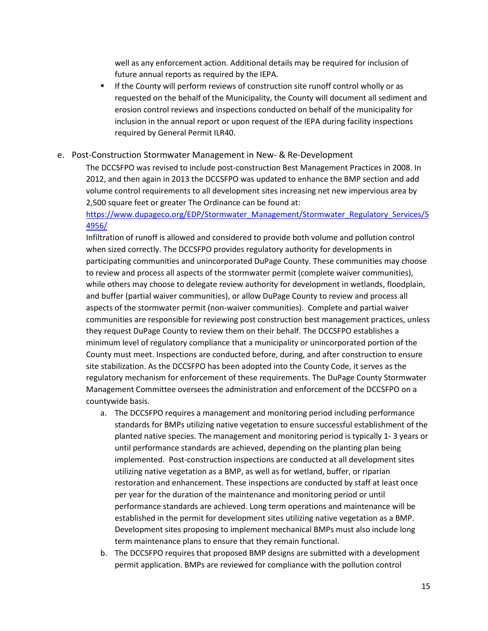well as any enforcement action. Additional details may be required for inclusion of future annual reports as required by the IEPA.

**■** If the County will perform reviews of construction site runoff control wholly or as requested on the behalf of the Municipality, the County will document all sediment and erosion control reviews and inspections conducted on behalf of the municipality for inclusion in the annual report or upon request of the IEPA during facility inspections required by General Permit ILR40.

### <span id="page-14-0"></span>e. Post-Construction Stormwater Management in New- & Re-Development

The DCCSFPO was revised to include post-construction Best Management Practices in 2008. In 2012, and then again in 2013 the DCCSFPO was updated to enhance the BMP section and add volume control requirements to all development sites increasing net new impervious area by 2,500 square feet or greater The Ordinance can be found at:

[https://www.dupageco.org/EDP/Stormwater\\_Management/Stormwater\\_Regulatory\\_Services/5](https://www.dupageco.org/EDP/Stormwater_Management/Stormwater_Regulatory_Services/54956/) [4956/](https://www.dupageco.org/EDP/Stormwater_Management/Stormwater_Regulatory_Services/54956/)

Infiltration of runoff is allowed and considered to provide both volume and pollution control when sized correctly. The DCCSFPO provides regulatory authority for developments in participating communities and unincorporated DuPage County. These communities may choose to review and process all aspects of the stormwater permit (complete waiver communities), while others may choose to delegate review authority for development in wetlands, floodplain, and buffer (partial waiver communities), or allow DuPage County to review and process all aspects of the stormwater permit (non-waiver communities). Complete and partial waiver communities are responsible for reviewing post construction best management practices, unless they request DuPage County to review them on their behalf. The DCCSFPO establishes a minimum level of regulatory compliance that a municipality or unincorporated portion of the County must meet. Inspections are conducted before, during, and after construction to ensure site stabilization. As the DCCSFPO has been adopted into the County Code, it serves as the regulatory mechanism for enforcement of these requirements. The DuPage County Stormwater Management Committee oversees the administration and enforcement of the DCCSFPO on a countywide basis.

- a. The DCCSFPO requires a management and monitoring period including performance standards for BMPs utilizing native vegetation to ensure successful establishment of the planted native species. The management and monitoring period is typically 1- 3 years or until performance standards are achieved, depending on the planting plan being implemented. Post-construction inspections are conducted at all development sites utilizing native vegetation as a BMP, as well as for wetland, buffer, or riparian restoration and enhancement. These inspections are conducted by staff at least once per year for the duration of the maintenance and monitoring period or until performance standards are achieved. Long term operations and maintenance will be established in the permit for development sites utilizing native vegetation as a BMP. Development sites proposing to implement mechanical BMPs must also include long term maintenance plans to ensure that they remain functional.
- b. The DCCSFPO requires that proposed BMP designs are submitted with a development permit application. BMPs are reviewed for compliance with the pollution control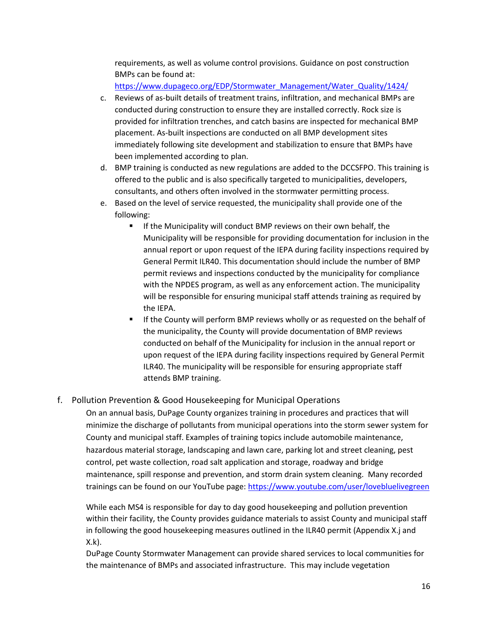requirements, as well as volume control provisions. Guidance on post construction BMPs can be found at:

[https://www.dupageco.org/EDP/Stormwater\\_Management/Water\\_Quality/1424/](https://www.dupageco.org/EDP/Stormwater_Management/Water_Quality/1424/)

- c. Reviews of as-built details of treatment trains, infiltration, and mechanical BMPs are conducted during construction to ensure they are installed correctly. Rock size is provided for infiltration trenches, and catch basins are inspected for mechanical BMP placement. As-built inspections are conducted on all BMP development sites immediately following site development and stabilization to ensure that BMPs have been implemented according to plan.
- d. BMP training is conducted as new regulations are added to the DCCSFPO. This training is offered to the public and is also specifically targeted to municipalities, developers, consultants, and others often involved in the stormwater permitting process.
- e. Based on the level of service requested, the municipality shall provide one of the following:
	- If the Municipality will conduct BMP reviews on their own behalf, the Municipality will be responsible for providing documentation for inclusion in the annual report or upon request of the IEPA during facility inspections required by General Permit ILR40. This documentation should include the number of BMP permit reviews and inspections conducted by the municipality for compliance with the NPDES program, as well as any enforcement action. The municipality will be responsible for ensuring municipal staff attends training as required by the IEPA.
	- If the County will perform BMP reviews wholly or as requested on the behalf of the municipality, the County will provide documentation of BMP reviews conducted on behalf of the Municipality for inclusion in the annual report or upon request of the IEPA during facility inspections required by General Permit ILR40. The municipality will be responsible for ensuring appropriate staff attends BMP training.

### <span id="page-15-0"></span>f. Pollution Prevention & Good Housekeeping for Municipal Operations

On an annual basis, DuPage County organizes training in procedures and practices that will minimize the discharge of pollutants from municipal operations into the storm sewer system for County and municipal staff. Examples of training topics include automobile maintenance, hazardous material storage, landscaping and lawn care, parking lot and street cleaning, pest control, pet waste collection, road salt application and storage, roadway and bridge maintenance, spill response and prevention, and storm drain system cleaning. Many recorded trainings can be found on our YouTube page:<https://www.youtube.com/user/lovebluelivegreen>

While each MS4 is responsible for day to day good housekeeping and pollution prevention within their facility, the County provides guidance materials to assist County and municipal staff in following the good housekeeping measures outlined in the ILR40 permit (Appendix X.j and X.k).

DuPage County Stormwater Management can provide shared services to local communities for the maintenance of BMPs and associated infrastructure. This may include vegetation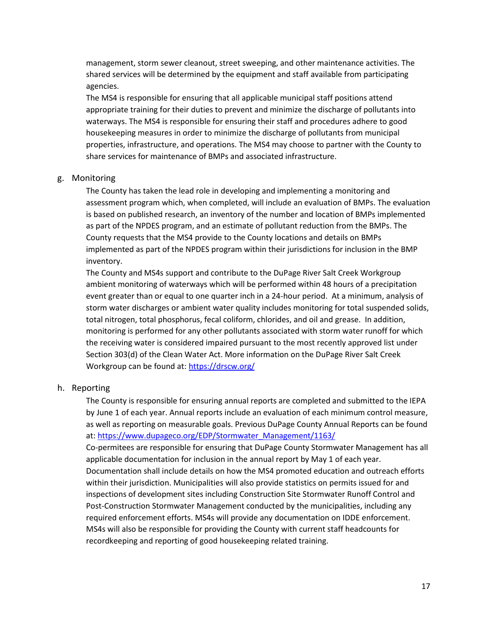management, storm sewer cleanout, street sweeping, and other maintenance activities. The shared services will be determined by the equipment and staff available from participating agencies.

The MS4 is responsible for ensuring that all applicable municipal staff positions attend appropriate training for their duties to prevent and minimize the discharge of pollutants into waterways. The MS4 is responsible for ensuring their staff and procedures adhere to good housekeeping measures in order to minimize the discharge of pollutants from municipal properties, infrastructure, and operations. The MS4 may choose to partner with the County to share services for maintenance of BMPs and associated infrastructure.

#### <span id="page-16-0"></span>g. Monitoring

The County has taken the lead role in developing and implementing a monitoring and assessment program which, when completed, will include an evaluation of BMPs. The evaluation is based on published research, an inventory of the number and location of BMPs implemented as part of the NPDES program, and an estimate of pollutant reduction from the BMPs. The County requests that the MS4 provide to the County locations and details on BMPs implemented as part of the NPDES program within their jurisdictions for inclusion in the BMP inventory.

The County and MS4s support and contribute to the DuPage River Salt Creek Workgroup ambient monitoring of waterways which will be performed within 48 hours of a precipitation event greater than or equal to one quarter inch in a 24-hour period. At a minimum, analysis of storm water discharges or ambient water quality includes monitoring for total suspended solids, total nitrogen, total phosphorus, fecal coliform, chlorides, and oil and grease. In addition, monitoring is performed for any other pollutants associated with storm water runoff for which the receiving water is considered impaired pursuant to the most recently approved list under Section 303(d) of the Clean Water Act. More information on the DuPage River Salt Creek Workgroup can be found at[: https://drscw.org/](https://drscw.org/)

#### <span id="page-16-1"></span>h. Reporting

The County is responsible for ensuring annual reports are completed and submitted to the IEPA by June 1 of each year. Annual reports include an evaluation of each minimum control measure, as well as reporting on measurable goals. Previous DuPage County Annual Reports can be found at: [https://www.dupageco.org/EDP/Stormwater\\_Management/1163/](https://www.dupageco.org/EDP/Stormwater_Management/1163/)

Co-permitees are responsible for ensuring that DuPage County Stormwater Management has all applicable documentation for inclusion in the annual report by May 1 of each year. Documentation shall include details on how the MS4 promoted education and outreach efforts within their jurisdiction. Municipalities will also provide statistics on permits issued for and inspections of development sites including Construction Site Stormwater Runoff Control and Post-Construction Stormwater Management conducted by the municipalities, including any required enforcement efforts. MS4s will provide any documentation on IDDE enforcement. MS4s will also be responsible for providing the County with current staff headcounts for recordkeeping and reporting of good housekeeping related training.